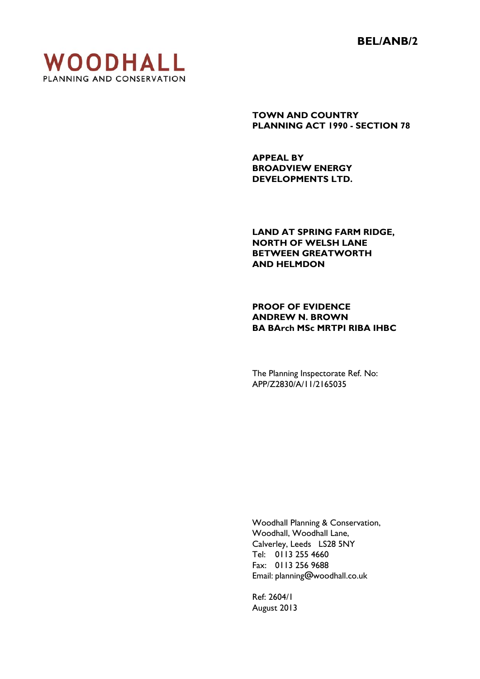**BEL/ANB/2** 



**TOWN AND COUNTRY PLANNING ACT 1990 - SECTION 78** 

**APPEAL BY BROADVIEW ENERGY DEVELOPMENTS LTD.** 

**LAND AT SPRING FARM RIDGE, NORTH OF WELSH LANE BETWEEN GREATWORTH AND HELMDON** 

**PROOF OF EVIDENCE ANDREW N. BROWN BA BArch MSc MRTPI RIBA IHBC** 

The Planning Inspectorate Ref. No: APP/Z2830/A/11/2165035

 Woodhall Planning & Conservation, Woodhall, Woodhall Lane, Calverley, Leeds LS28 5NY Tel: 0113 255 4660 Fax: 0113 256 9688 Email: planning@woodhall.co.uk

 Ref: 2604/1 August 2013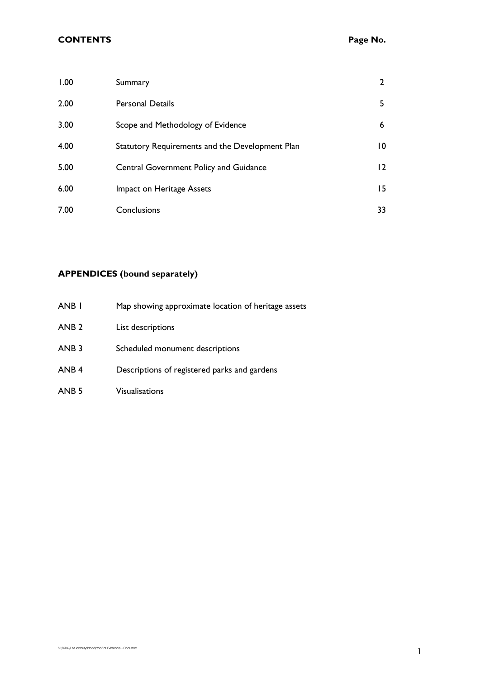| 1.00 | Summary                                         | 2              |
|------|-------------------------------------------------|----------------|
| 2.00 | <b>Personal Details</b>                         | 5              |
| 3.00 | Scope and Methodology of Evidence               | 6              |
| 4.00 | Statutory Requirements and the Development Plan | 10             |
| 5.00 | Central Government Policy and Guidance          | $\overline{2}$ |
| 6.00 | Impact on Heritage Assets                       | 15.            |
| 7.00 | Conclusions                                     | 33             |

# **APPENDICES (bound separately)**

| ANB <sub>I</sub> | Map showing approximate location of heritage assets |
|------------------|-----------------------------------------------------|
| ANB <sub>2</sub> | List descriptions                                   |
| ANB <sub>3</sub> | Scheduled monument descriptions                     |
| ANB <sub>4</sub> | Descriptions of registered parks and gardens        |
| ANB <sub>5</sub> | <b>Visualisations</b>                               |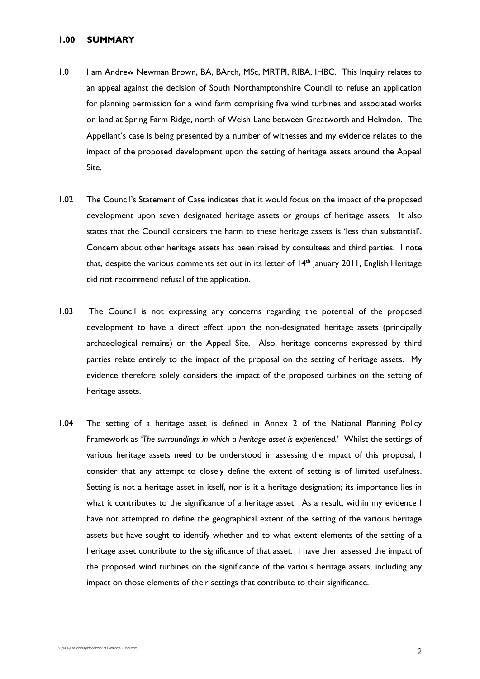# **1.00 SUMMARY**

- 1.01 I am Andrew Newman Brown, BA, BArch, MSc, MRTPI, RIBA, IHBC. This Inquiry relates to an appeal against the decision of South Northamptonshire Council to refuse an application for planning permission for a wind farm comprising five wind turbines and associated works on land at Spring Farm Ridge, north of Welsh Lane between Greatworth and Helmdon. The Appellant's case is being presented by a number of witnesses and my evidence relates to the impact of the proposed development upon the setting of heritage assets around the Appeal Site.
- 1.02 The Council's Statement of Case indicates that it would focus on the impact of the proposed development upon seven designated heritage assets or groups of heritage assets. It also states that the Council considers the harm to these heritage assets is 'less than substantial'. Concern about other heritage assets has been raised by consultees and third parties. I note that, despite the various comments set out in its letter of 14<sup>th</sup> January 2011, English Heritage did not recommend refusal of the application.
- 1.03 The Council is not expressing any concerns regarding the potential of the proposed development to have a direct effect upon the non-designated heritage assets (principally archaeological remains) on the Appeal Site. Also, heritage concerns expressed by third parties relate entirely to the impact of the proposal on the setting of heritage assets. My evidence therefore solely considers the impact of the proposed turbines on the setting of heritage assets.
- 1.04 The setting of a heritage asset is defined in Annex 2 of the National Planning Policy Framework as *'The surroundings in which a heritage asset is experienced.*' Whilst the settings of various heritage assets need to be understood in assessing the impact of this proposal, I consider that any attempt to closely define the extent of setting is of limited usefulness. Setting is not a heritage asset in itself, nor is it a heritage designation; its importance lies in what it contributes to the significance of a heritage asset. As a result, within my evidence I have not attempted to define the geographical extent of the setting of the various heritage assets but have sought to identify whether and to what extent elements of the setting of a heritage asset contribute to the significance of that asset. I have then assessed the impact of the proposed wind turbines on the significance of the various heritage assets, including any impact on those elements of their settings that contribute to their significance.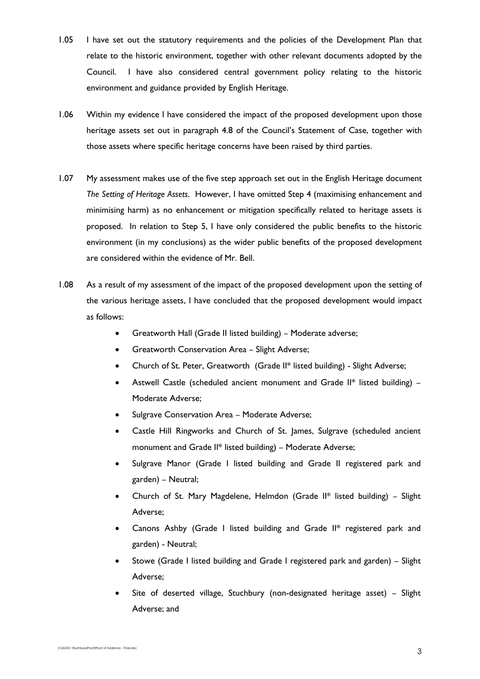- 1.05 I have set out the statutory requirements and the policies of the Development Plan that relate to the historic environment, together with other relevant documents adopted by the Council. I have also considered central government policy relating to the historic environment and guidance provided by English Heritage.
- 1.06 Within my evidence I have considered the impact of the proposed development upon those heritage assets set out in paragraph 4.8 of the Council's Statement of Case, together with those assets where specific heritage concerns have been raised by third parties.
- 1.07 My assessment makes use of the five step approach set out in the English Heritage document *The Setting of Heritage Assets*. However, I have omitted Step 4 (maximising enhancement and minimising harm) as no enhancement or mitigation specifically related to heritage assets is proposed. In relation to Step 5, I have only considered the public benefits to the historic environment (in my conclusions) as the wider public benefits of the proposed development are considered within the evidence of Mr. Bell.
- 1.08 As a result of my assessment of the impact of the proposed development upon the setting of the various heritage assets, I have concluded that the proposed development would impact as follows:
	- Greatworth Hall (Grade II listed building) Moderate adverse;
	- Greatworth Conservation Area Slight Adverse;
	- Church of St. Peter, Greatworth (Grade II\* listed building) Slight Adverse;
	- Astwell Castle (scheduled ancient monument and Grade II\* listed building) Moderate Adverse;
	- Sulgrave Conservation Area Moderate Adverse;
	- Castle Hill Ringworks and Church of St. James, Sulgrave (scheduled ancient monument and Grade II\* listed building) – Moderate Adverse;
	- Sulgrave Manor (Grade I listed building and Grade II registered park and garden) – Neutral;
	- Church of St. Mary Magdelene, Helmdon (Grade  $II^*$  listed building) Slight Adverse;
	- Canons Ashby (Grade I listed building and Grade II\* registered park and garden) - Neutral;
	- Stowe (Grade I listed building and Grade I registered park and garden) Slight Adverse;
	- Site of deserted village, Stuchbury (non-designated heritage asset) Slight Adverse; and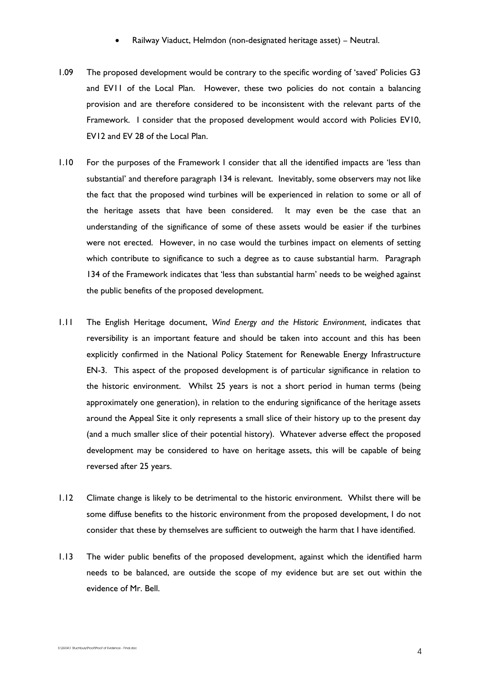- Railway Viaduct, Helmdon (non-designated heritage asset) Neutral.
- 1.09 The proposed development would be contrary to the specific wording of 'saved' Policies G3 and EV11 of the Local Plan. However, these two policies do not contain a balancing provision and are therefore considered to be inconsistent with the relevant parts of the Framework. I consider that the proposed development would accord with Policies EV10, EV12 and EV 28 of the Local Plan.
- 1.10 For the purposes of the Framework I consider that all the identified impacts are 'less than substantial' and therefore paragraph 134 is relevant. Inevitably, some observers may not like the fact that the proposed wind turbines will be experienced in relation to some or all of the heritage assets that have been considered. It may even be the case that an understanding of the significance of some of these assets would be easier if the turbines were not erected. However, in no case would the turbines impact on elements of setting which contribute to significance to such a degree as to cause substantial harm. Paragraph 134 of the Framework indicates that 'less than substantial harm' needs to be weighed against the public benefits of the proposed development.
- 1.11 The English Heritage document, *Wind Energy and the Historic Environment*, indicates that reversibility is an important feature and should be taken into account and this has been explicitly confirmed in the National Policy Statement for Renewable Energy Infrastructure EN-3. This aspect of the proposed development is of particular significance in relation to the historic environment. Whilst 25 years is not a short period in human terms (being approximately one generation), in relation to the enduring significance of the heritage assets around the Appeal Site it only represents a small slice of their history up to the present day (and a much smaller slice of their potential history). Whatever adverse effect the proposed development may be considered to have on heritage assets, this will be capable of being reversed after 25 years.
- 1.12 Climate change is likely to be detrimental to the historic environment. Whilst there will be some diffuse benefits to the historic environment from the proposed development, I do not consider that these by themselves are sufficient to outweigh the harm that I have identified.
- 1.13 The wider public benefits of the proposed development, against which the identified harm needs to be balanced, are outside the scope of my evidence but are set out within the evidence of Mr. Bell.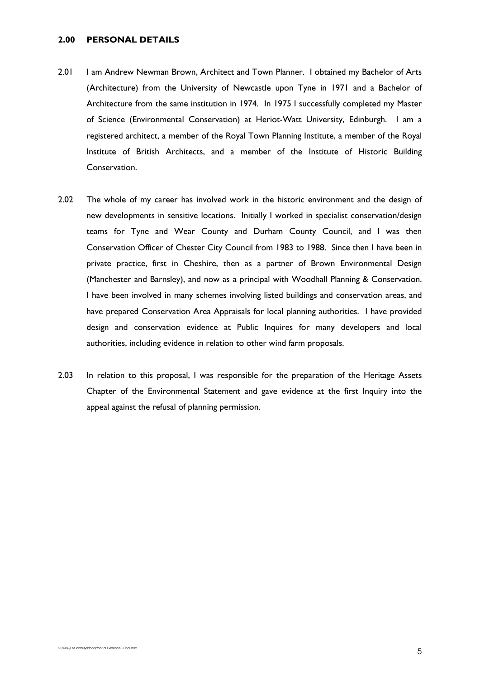# **2.00 PERSONAL DETAILS**

- 2.01 I am Andrew Newman Brown, Architect and Town Planner. I obtained my Bachelor of Arts (Architecture) from the University of Newcastle upon Tyne in 1971 and a Bachelor of Architecture from the same institution in 1974. In 1975 I successfully completed my Master of Science (Environmental Conservation) at Heriot-Watt University, Edinburgh. I am a registered architect, a member of the Royal Town Planning Institute, a member of the Royal Institute of British Architects, and a member of the Institute of Historic Building Conservation.
- 2.02 The whole of my career has involved work in the historic environment and the design of new developments in sensitive locations. Initially I worked in specialist conservation/design teams for Tyne and Wear County and Durham County Council, and I was then Conservation Officer of Chester City Council from 1983 to 1988. Since then I have been in private practice, first in Cheshire, then as a partner of Brown Environmental Design (Manchester and Barnsley), and now as a principal with Woodhall Planning & Conservation. I have been involved in many schemes involving listed buildings and conservation areas, and have prepared Conservation Area Appraisals for local planning authorities. I have provided design and conservation evidence at Public Inquires for many developers and local authorities, including evidence in relation to other wind farm proposals.
- 2.03 In relation to this proposal, I was responsible for the preparation of the Heritage Assets Chapter of the Environmental Statement and gave evidence at the first Inquiry into the appeal against the refusal of planning permission.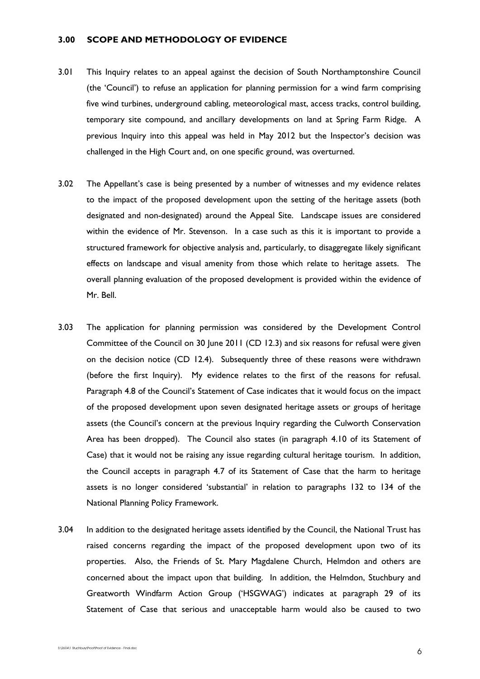# **3.00 SCOPE AND METHODOLOGY OF EVIDENCE**

- 3.01 This Inquiry relates to an appeal against the decision of South Northamptonshire Council (the 'Council') to refuse an application for planning permission for a wind farm comprising five wind turbines, underground cabling, meteorological mast, access tracks, control building, temporary site compound, and ancillary developments on land at Spring Farm Ridge. A previous Inquiry into this appeal was held in May 2012 but the Inspector's decision was challenged in the High Court and, on one specific ground, was overturned.
- 3.02 The Appellant's case is being presented by a number of witnesses and my evidence relates to the impact of the proposed development upon the setting of the heritage assets (both designated and non-designated) around the Appeal Site. Landscape issues are considered within the evidence of Mr. Stevenson. In a case such as this it is important to provide a structured framework for objective analysis and, particularly, to disaggregate likely significant effects on landscape and visual amenity from those which relate to heritage assets. The overall planning evaluation of the proposed development is provided within the evidence of Mr. Bell.
- 3.03 The application for planning permission was considered by the Development Control Committee of the Council on 30 June 2011 (CD 12.3) and six reasons for refusal were given on the decision notice (CD 12.4). Subsequently three of these reasons were withdrawn (before the first Inquiry). My evidence relates to the first of the reasons for refusal. Paragraph 4.8 of the Council's Statement of Case indicates that it would focus on the impact of the proposed development upon seven designated heritage assets or groups of heritage assets (the Council's concern at the previous Inquiry regarding the Culworth Conservation Area has been dropped). The Council also states (in paragraph 4.10 of its Statement of Case) that it would not be raising any issue regarding cultural heritage tourism. In addition, the Council accepts in paragraph 4.7 of its Statement of Case that the harm to heritage assets is no longer considered 'substantial' in relation to paragraphs 132 to 134 of the National Planning Policy Framework.
- 3.04 In addition to the designated heritage assets identified by the Council, the National Trust has raised concerns regarding the impact of the proposed development upon two of its properties. Also, the Friends of St. Mary Magdalene Church, Helmdon and others are concerned about the impact upon that building. In addition, the Helmdon, Stuchbury and Greatworth Windfarm Action Group ('HSGWAG') indicates at paragraph 29 of its Statement of Case that serious and unacceptable harm would also be caused to two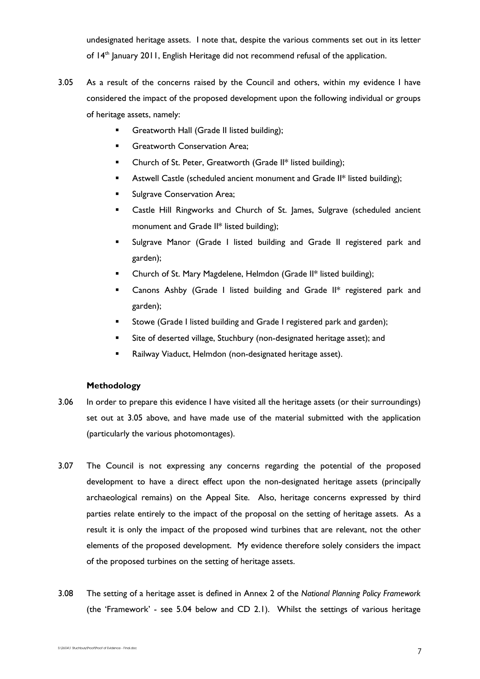undesignated heritage assets. I note that, despite the various comments set out in its letter of 14<sup>th</sup> January 2011, English Heritage did not recommend refusal of the application.

- 3.05 As a result of the concerns raised by the Council and others, within my evidence I have considered the impact of the proposed development upon the following individual or groups of heritage assets, namely:
	- Greatworth Hall (Grade II listed building);
	- **Greatworth Conservation Area;**
	- **EXECHITCH ST. Peter, Greatworth (Grade II\* listed building);**
	- **Astwell Castle (scheduled ancient monument and Grade II\* listed building);**
	- **Sulgrave Conservation Area;**
	- **EXECAST EXECOM** Castle Hill Ringworks and Church of St. James, Sulgrave (scheduled ancient monument and Grade II\* listed building);
	- Sulgrave Manor (Grade I listed building and Grade II registered park and garden);
	- Church of St. Mary Magdelene, Helmdon (Grade II\* listed building);
	- **EXEC** Canons Ashby (Grade I listed building and Grade II\* registered park and garden);
	- **Stowe (Grade I listed building and Grade I registered park and garden);**
	- Site of deserted village, Stuchbury (non-designated heritage asset); and
	- **Railway Viaduct, Helmdon (non-designated heritage asset).**

# **Methodology**

- 3.06 In order to prepare this evidence I have visited all the heritage assets (or their surroundings) set out at 3.05 above, and have made use of the material submitted with the application (particularly the various photomontages).
- 3.07 The Council is not expressing any concerns regarding the potential of the proposed development to have a direct effect upon the non-designated heritage assets (principally archaeological remains) on the Appeal Site. Also, heritage concerns expressed by third parties relate entirely to the impact of the proposal on the setting of heritage assets. As a result it is only the impact of the proposed wind turbines that are relevant, not the other elements of the proposed development. My evidence therefore solely considers the impact of the proposed turbines on the setting of heritage assets.
- 3.08 The setting of a heritage asset is defined in Annex 2 of the *National Planning Policy Framework* (the 'Framework' - see 5.04 below and CD 2.1). Whilst the settings of various heritage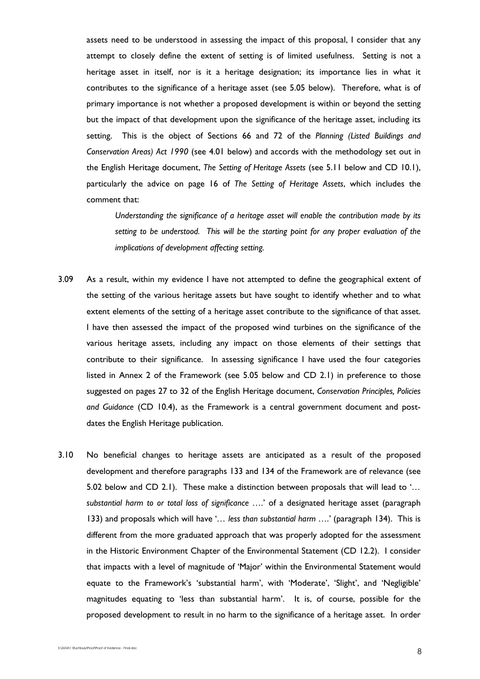assets need to be understood in assessing the impact of this proposal, I consider that any attempt to closely define the extent of setting is of limited usefulness. Setting is not a heritage asset in itself, nor is it a heritage designation; its importance lies in what it contributes to the significance of a heritage asset (see 5.05 below). Therefore, what is of primary importance is not whether a proposed development is within or beyond the setting but the impact of that development upon the significance of the heritage asset, including its setting. This is the object of Sections 66 and 72 of the *Planning (Listed Buildings and Conservation Areas) Act 1990* (see 4.01 below) and accords with the methodology set out in the English Heritage document, *The Setting of Heritage Assets* (see 5.11 below and CD 10.1), particularly the advice on page 16 of *The Setting of Heritage Assets*, which includes the comment that:

*Understanding the significance of a heritage asset will enable the contribution made by its setting to be understood. This will be the starting point for any proper evaluation of the implications of development affecting setting.* 

- 3.09 As a result, within my evidence I have not attempted to define the geographical extent of the setting of the various heritage assets but have sought to identify whether and to what extent elements of the setting of a heritage asset contribute to the significance of that asset. I have then assessed the impact of the proposed wind turbines on the significance of the various heritage assets, including any impact on those elements of their settings that contribute to their significance. In assessing significance I have used the four categories listed in Annex 2 of the Framework (see 5.05 below and CD 2.1) in preference to those suggested on pages 27 to 32 of the English Heritage document, *Conservation Principles, Policies and Guidance* (CD 10.4), as the Framework is a central government document and postdates the English Heritage publication.
- 3.10 No beneficial changes to heritage assets are anticipated as a result of the proposed development and therefore paragraphs 133 and 134 of the Framework are of relevance (see 5.02 below and CD 2.1). These make a distinction between proposals that will lead to '*… substantial harm to or total loss of significance ….*' of a designated heritage asset (paragraph 133) and proposals which will have '*… less than substantial harm ….*' (paragraph 134). This is different from the more graduated approach that was properly adopted for the assessment in the Historic Environment Chapter of the Environmental Statement (CD 12.2). I consider that impacts with a level of magnitude of 'Major' within the Environmental Statement would equate to the Framework's 'substantial harm', with 'Moderate', 'Slight', and 'Negligible' magnitudes equating to 'less than substantial harm'. It is, of course, possible for the proposed development to result in no harm to the significance of a heritage asset. In order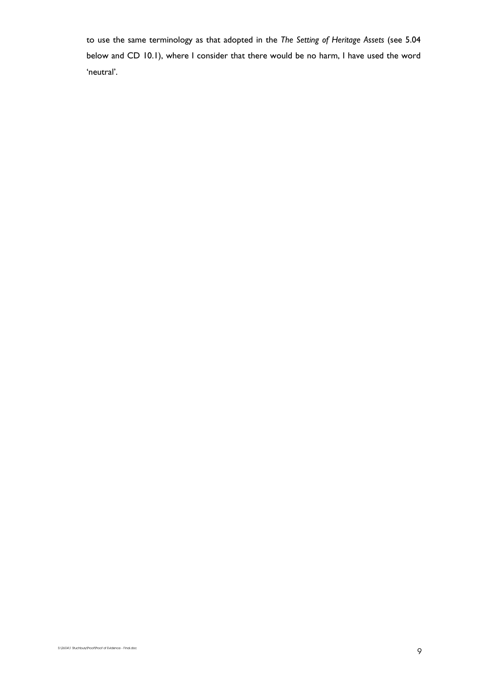to use the same terminology as that adopted in the *The Setting of Heritage Assets* (see 5.04 below and CD 10.1), where I consider that there would be no harm, I have used the word 'neutral'.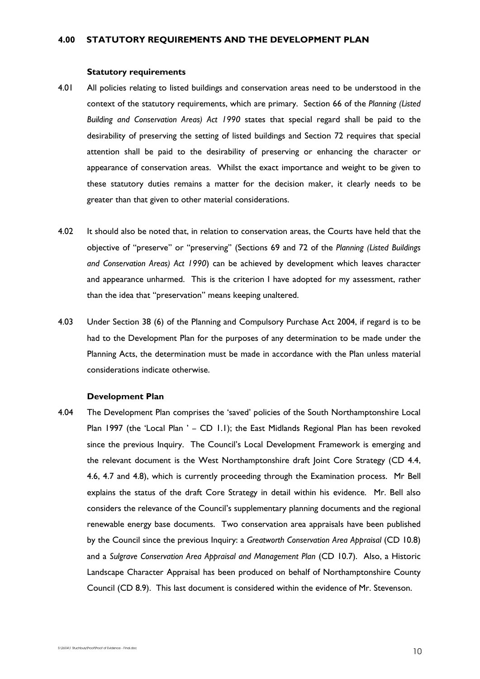#### **Statutory requirements**

- 4.01 All policies relating to listed buildings and conservation areas need to be understood in the context of the statutory requirements, which are primary. Section 66 of the *Planning (Listed Building and Conservation Areas) Act 1990* states that special regard shall be paid to the desirability of preserving the setting of listed buildings and Section 72 requires that special attention shall be paid to the desirability of preserving or enhancing the character or appearance of conservation areas. Whilst the exact importance and weight to be given to these statutory duties remains a matter for the decision maker, it clearly needs to be greater than that given to other material considerations.
- 4.02 It should also be noted that, in relation to conservation areas, the Courts have held that the objective of "preserve" or "preserving" (Sections 69 and 72 of the *Planning (Listed Buildings and Conservation Areas) Act 1990*) can be achieved by development which leaves character and appearance unharmed. This is the criterion I have adopted for my assessment, rather than the idea that "preservation" means keeping unaltered.
- 4.03 Under Section 38 (6) of the Planning and Compulsory Purchase Act 2004, if regard is to be had to the Development Plan for the purposes of any determination to be made under the Planning Acts, the determination must be made in accordance with the Plan unless material considerations indicate otherwise.

## **Development Plan**

4.04 The Development Plan comprises the 'saved' policies of the South Northamptonshire Local Plan 1997 (the 'Local Plan ' – CD 1.1); the East Midlands Regional Plan has been revoked since the previous Inquiry. The Council's Local Development Framework is emerging and the relevant document is the West Northamptonshire draft Joint Core Strategy (CD 4.4, 4.6, 4.7 and 4.8), which is currently proceeding through the Examination process. Mr Bell explains the status of the draft Core Strategy in detail within his evidence. Mr. Bell also considers the relevance of the Council's supplementary planning documents and the regional renewable energy base documents. Two conservation area appraisals have been published by the Council since the previous Inquiry: a *Greatworth Conservation Area Appraisal* (CD 10.8) and a *Sulgrave Conservation Area Appraisal and Management Plan* (CD 10.7). Also, a Historic Landscape Character Appraisal has been produced on behalf of Northamptonshire County Council (CD 8.9). This last document is considered within the evidence of Mr. Stevenson.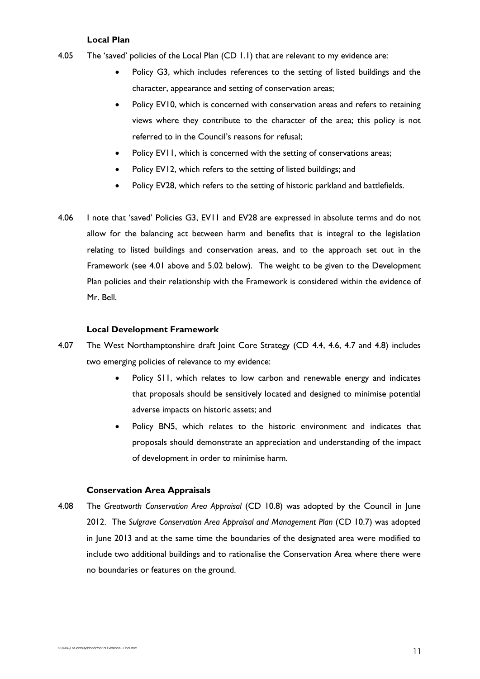# **Local Plan**

- 4.05 The 'saved' policies of the Local Plan (CD 1.1) that are relevant to my evidence are:
	- Policy G3, which includes references to the setting of listed buildings and the character, appearance and setting of conservation areas;
	- Policy EV10, which is concerned with conservation areas and refers to retaining views where they contribute to the character of the area; this policy is not referred to in the Council's reasons for refusal;
	- Policy EV11, which is concerned with the setting of conservations areas;
	- Policy EV12, which refers to the setting of listed buildings; and
	- Policy EV28, which refers to the setting of historic parkland and battlefields.
- 4.06 I note that 'saved' Policies G3, EV11 and EV28 are expressed in absolute terms and do not allow for the balancing act between harm and benefits that is integral to the legislation relating to listed buildings and conservation areas, and to the approach set out in the Framework (see 4.01 above and 5.02 below). The weight to be given to the Development Plan policies and their relationship with the Framework is considered within the evidence of Mr. Bell.

#### **Local Development Framework**

- 4.07 The West Northamptonshire draft Joint Core Strategy (CD 4.4, 4.6, 4.7 and 4.8) includes two emerging policies of relevance to my evidence:
	- Policy S11, which relates to low carbon and renewable energy and indicates that proposals should be sensitively located and designed to minimise potential adverse impacts on historic assets; and
	- Policy BN5, which relates to the historic environment and indicates that proposals should demonstrate an appreciation and understanding of the impact of development in order to minimise harm.

# **Conservation Area Appraisals**

4.08 The *Greatworth Conservation Area Appraisal* (CD 10.8) was adopted by the Council in June 2012. The *Sulgrave Conservation Area Appraisal and Management Plan* (CD 10.7) was adopted in June 2013 and at the same time the boundaries of the designated area were modified to include two additional buildings and to rationalise the Conservation Area where there were no boundaries or features on the ground.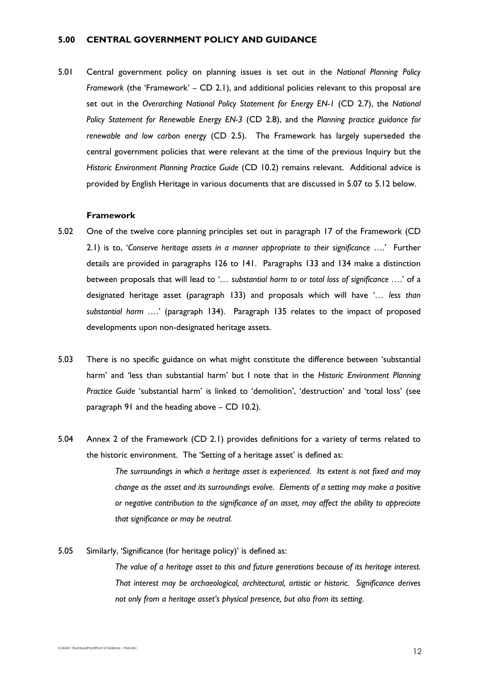# **5.00 CENTRAL GOVERNMENT POLICY AND GUIDANCE**

5.01 Central government policy on planning issues is set out in the *National Planning Policy Framework* (the 'Framework' – CD 2.1), and additional policies relevant to this proposal are set out in the *Overarching National Policy Statement for Energy EN-1* (CD 2.7), the *National Policy Statement for Renewable Energy EN-3* (CD 2.8), and the *Planning practice guidance for renewable and low carbon energy* (CD 2.5). The Framework has largely superseded the central government policies that were relevant at the time of the previous Inquiry but the *Historic Environment Planning Practice Guide* (CD 10.2) remains relevant. Additional advice is provided by English Heritage in various documents that are discussed in 5.07 to 5.12 below.

## **Framework**

- 5.02 One of the twelve core planning principles set out in paragraph 17 of the Framework (CD 2.1) is to, '*Conserve heritage assets in a manner appropriate to their significance* ….' Further details are provided in paragraphs 126 to 141. Paragraphs 133 and 134 make a distinction between proposals that will lead to '*… substantial harm to or total loss of significance ….*' of a designated heritage asset (paragraph 133) and proposals which will have '*… less than substantial harm ….*' (paragraph 134). Paragraph 135 relates to the impact of proposed developments upon non-designated heritage assets.
- 5.03 There is no specific guidance on what might constitute the difference between 'substantial harm' and 'less than substantial harm' but I note that in the *Historic Environment Planning Practice Guide* 'substantial harm' is linked to 'demolition', 'destruction' and 'total loss' (see paragraph 91 and the heading above – CD 10.2).
- 5.04 Annex 2 of the Framework (CD 2.1) provides definitions for a variety of terms related to the historic environment. The 'Setting of a heritage asset' is defined as: *The surroundings in which a heritage asset is experienced. Its extent is not fixed and may change as the asset and its surroundings evolve. Elements of a setting may make a positive or negative contribution to the significance of an asset, may affect the ability to appreciate that significance or may be neutral.*
- 5.05 Similarly, 'Significance (for heritage policy)' is defined as: *The value of a heritage asset to this and future generations because of its heritage interest. That interest may be archaeological, architectural, artistic or historic. Significance derives not only from a heritage asset's physical presence, but also from its setting.*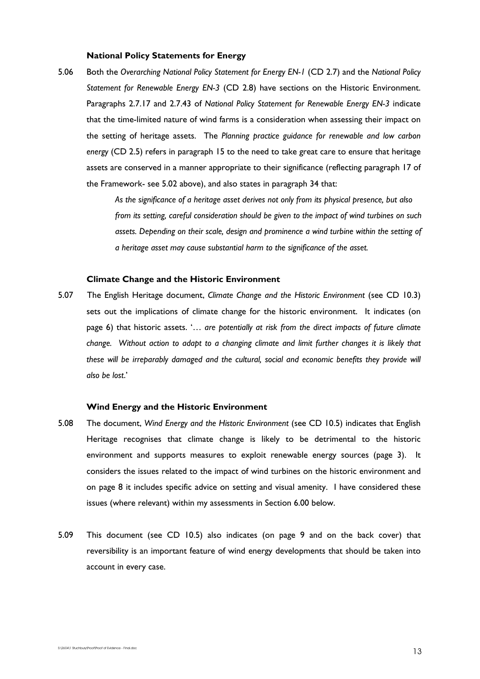## **National Policy Statements for Energy**

5.06 Both the *Overarching National Policy Statement for Energy EN-1* (CD 2.7) and the *National Policy Statement for Renewable Energy EN-3* (CD 2.8) have sections on the Historic Environment. Paragraphs 2.7.17 and 2.7.43 of *National Policy Statement for Renewable Energy EN-3* indicate that the time-limited nature of wind farms is a consideration when assessing their impact on the setting of heritage assets. The *Planning practice guidance for renewable and low carbon energy* (CD 2.5) refers in paragraph 15 to the need to take great care to ensure that heritage assets are conserved in a manner appropriate to their significance (reflecting paragraph 17 of the Framework- see 5.02 above), and also states in paragraph 34 that:

> *As the significance of a heritage asset derives not only from its physical presence, but also from its setting, careful consideration should be given to the impact of wind turbines on such assets. Depending on their scale, design and prominence a wind turbine within the setting of a heritage asset may cause substantial harm to the significance of the asset.*

#### **Climate Change and the Historic Environment**

5.07 The English Heritage document, *Climate Change and the Historic Environment* (see CD 10.3) sets out the implications of climate change for the historic environment. It indicates (on page 6) that historic assets. '… *are potentially at risk from the direct impacts of future climate change. Without action to adapt to a changing climate and limit further changes it is likely that*  these will be irreparably damaged and the cultural, social and economic benefits they provide will *also be lost*.'

## **Wind Energy and the Historic Environment**

- 5.08 The document, *Wind Energy and the Historic Environment* (see CD 10.5) indicates that English Heritage recognises that climate change is likely to be detrimental to the historic environment and supports measures to exploit renewable energy sources (page 3). It considers the issues related to the impact of wind turbines on the historic environment and on page 8 it includes specific advice on setting and visual amenity. I have considered these issues (where relevant) within my assessments in Section 6.00 below.
- 5.09 This document (see CD 10.5) also indicates (on page 9 and on the back cover) that reversibility is an important feature of wind energy developments that should be taken into account in every case.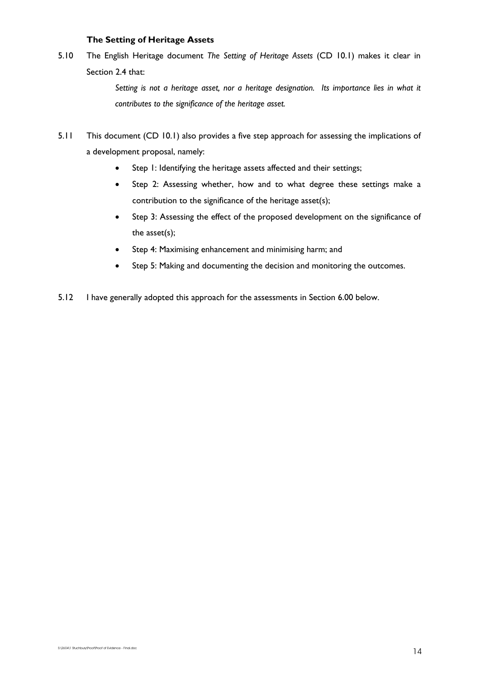# **The Setting of Heritage Assets**

5.10 The English Heritage document *The Setting of Heritage Assets* (CD 10.1) makes it clear in Section 2.4 that:

> *Setting is not a heritage asset, nor a heritage designation. Its importance lies in what it contributes to the significance of the heritage asset.*

- 5.11 This document (CD 10.1) also provides a five step approach for assessing the implications of a development proposal, namely:
	- Step 1: Identifying the heritage assets affected and their settings;
	- Step 2: Assessing whether, how and to what degree these settings make a contribution to the significance of the heritage asset(s);
	- Step 3: Assessing the effect of the proposed development on the significance of the asset(s);
	- Step 4: Maximising enhancement and minimising harm; and
	- Step 5: Making and documenting the decision and monitoring the outcomes.
- 5.12 I have generally adopted this approach for the assessments in Section 6.00 below.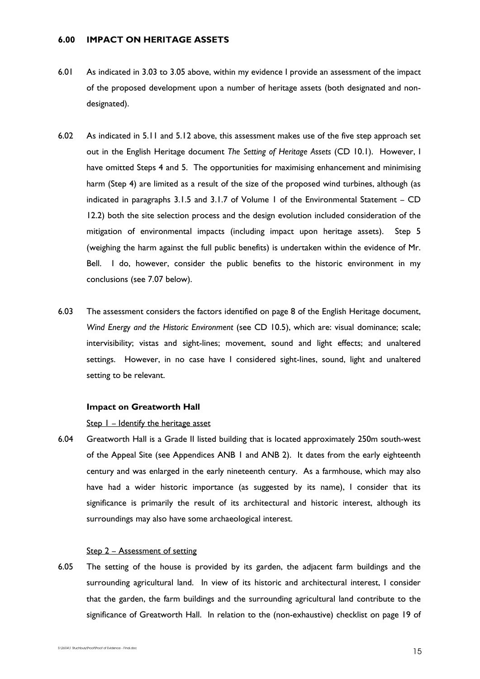# **6.00 IMPACT ON HERITAGE ASSETS**

- 6.01 As indicated in 3.03 to 3.05 above, within my evidence I provide an assessment of the impact of the proposed development upon a number of heritage assets (both designated and nondesignated).
- 6.02 As indicated in 5.11 and 5.12 above, this assessment makes use of the five step approach set out in the English Heritage document *The Setting of Heritage Assets* (CD 10.1). However, I have omitted Steps 4 and 5. The opportunities for maximising enhancement and minimising harm (Step 4) are limited as a result of the size of the proposed wind turbines, although (as indicated in paragraphs 3.1.5 and 3.1.7 of Volume 1 of the Environmental Statement – CD 12.2) both the site selection process and the design evolution included consideration of the mitigation of environmental impacts (including impact upon heritage assets). Step 5 (weighing the harm against the full public benefits) is undertaken within the evidence of Mr. Bell. I do, however, consider the public benefits to the historic environment in my conclusions (see 7.07 below).
- 6.03 The assessment considers the factors identified on page 8 of the English Heritage document, *Wind Energy and the Historic Environment* (see CD 10.5), which are: visual dominance; scale; intervisibility; vistas and sight-lines; movement, sound and light effects; and unaltered settings. However, in no case have I considered sight-lines, sound, light and unaltered setting to be relevant.

#### **Impact on Greatworth Hall**

## Step 1 – Identify the heritage asset

6.04 Greatworth Hall is a Grade II listed building that is located approximately 250m south-west of the Appeal Site (see Appendices ANB 1 and ANB 2). It dates from the early eighteenth century and was enlarged in the early nineteenth century. As a farmhouse, which may also have had a wider historic importance (as suggested by its name), I consider that its significance is primarily the result of its architectural and historic interest, although its surroundings may also have some archaeological interest.

# Step 2 – Assessment of setting

6.05 The setting of the house is provided by its garden, the adjacent farm buildings and the surrounding agricultural land. In view of its historic and architectural interest, I consider that the garden, the farm buildings and the surrounding agricultural land contribute to the significance of Greatworth Hall. In relation to the (non-exhaustive) checklist on page 19 of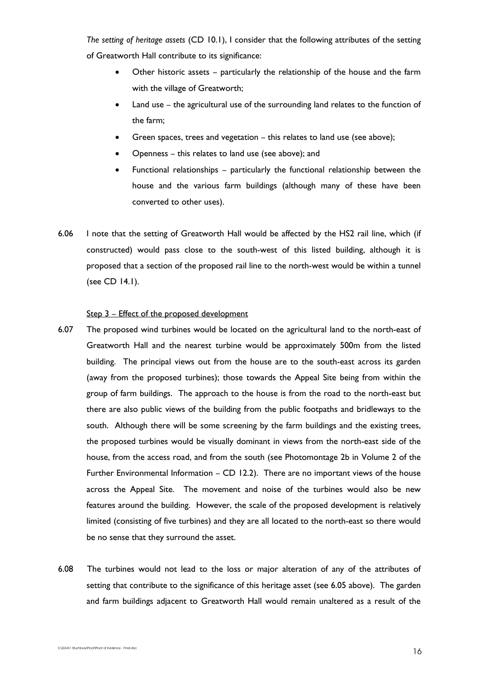*The setting of heritage assets* (CD 10.1), I consider that the following attributes of the setting of Greatworth Hall contribute to its significance:

- Other historic assets particularly the relationship of the house and the farm with the village of Greatworth;
- Land use the agricultural use of the surrounding land relates to the function of the farm;
- Green spaces, trees and vegetation this relates to land use (see above);
- Openness this relates to land use (see above); and
- Functional relationships particularly the functional relationship between the house and the various farm buildings (although many of these have been converted to other uses).
- 6.06 I note that the setting of Greatworth Hall would be affected by the HS2 rail line, which (if constructed) would pass close to the south-west of this listed building, although it is proposed that a section of the proposed rail line to the north-west would be within a tunnel (see CD 14.1).

## Step 3 – Effect of the proposed development

- 6.07 The proposed wind turbines would be located on the agricultural land to the north-east of Greatworth Hall and the nearest turbine would be approximately 500m from the listed building. The principal views out from the house are to the south-east across its garden (away from the proposed turbines); those towards the Appeal Site being from within the group of farm buildings. The approach to the house is from the road to the north-east but there are also public views of the building from the public footpaths and bridleways to the south. Although there will be some screening by the farm buildings and the existing trees, the proposed turbines would be visually dominant in views from the north-east side of the house, from the access road, and from the south (see Photomontage 2b in Volume 2 of the Further Environmental Information – CD 12.2). There are no important views of the house across the Appeal Site. The movement and noise of the turbines would also be new features around the building. However, the scale of the proposed development is relatively limited (consisting of five turbines) and they are all located to the north-east so there would be no sense that they surround the asset.
- 6.08 The turbines would not lead to the loss or major alteration of any of the attributes of setting that contribute to the significance of this heritage asset (see 6.05 above). The garden and farm buildings adjacent to Greatworth Hall would remain unaltered as a result of the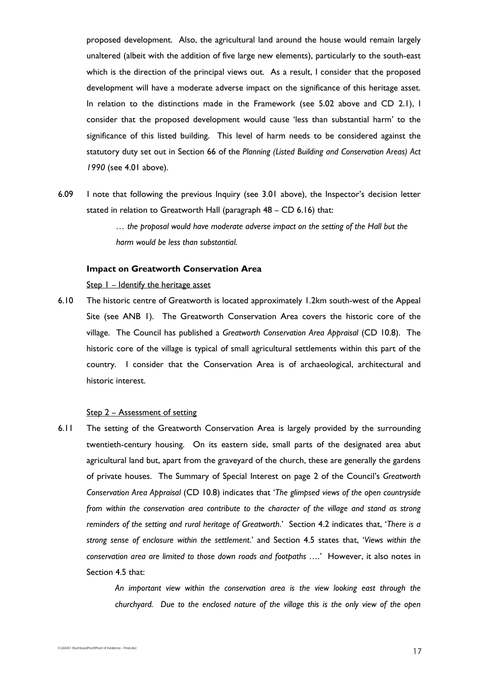proposed development. Also, the agricultural land around the house would remain largely unaltered (albeit with the addition of five large new elements), particularly to the south-east which is the direction of the principal views out. As a result, I consider that the proposed development will have a moderate adverse impact on the significance of this heritage asset. In relation to the distinctions made in the Framework (see 5.02 above and CD 2.1), I consider that the proposed development would cause 'less than substantial harm' to the significance of this listed building. This level of harm needs to be considered against the statutory duty set out in Section 66 of the *Planning (Listed Building and Conservation Areas) Act 1990* (see 4.01 above).

6.09 I note that following the previous Inquiry (see 3.01 above), the Inspector's decision letter stated in relation to Greatworth Hall (paragraph 48 – CD 6.16) that:

> *… the proposal would have moderate adverse impact on the setting of the Hall but the harm would be less than substantial.*

#### **Impact on Greatworth Conservation Area**

Step  $1$  – Identify the heritage asset

6.10 The historic centre of Greatworth is located approximately 1.2km south-west of the Appeal Site (see ANB 1). The Greatworth Conservation Area covers the historic core of the village. The Council has published a *Greatworth Conservation Area Appraisal* (CD 10.8). The historic core of the village is typical of small agricultural settlements within this part of the country. I consider that the Conservation Area is of archaeological, architectural and historic interest.

## Step 2 – Assessment of setting

6.11 The setting of the Greatworth Conservation Area is largely provided by the surrounding twentieth-century housing. On its eastern side, small parts of the designated area abut agricultural land but, apart from the graveyard of the church, these are generally the gardens of private houses. The Summary of Special Interest on page 2 of the Council's *Greatworth Conservation Area Appraisal* (CD 10.8) indicates that '*The glimpsed views of the open countryside from within the conservation area contribute to the character of the village and stand as strong reminders of the setting and rural heritage of Greatworth*.' Section 4.2 indicates that, '*There is a strong sense of enclosure within the settlement*.' and Section 4.5 states that, '*Views within the conservation area are limited to those down roads and footpaths ….*' However, it also notes in Section 4.5 that:

> *An important view within the conservation area is the view looking east through the churchyard. Due to the enclosed nature of the village this is the only view of the open*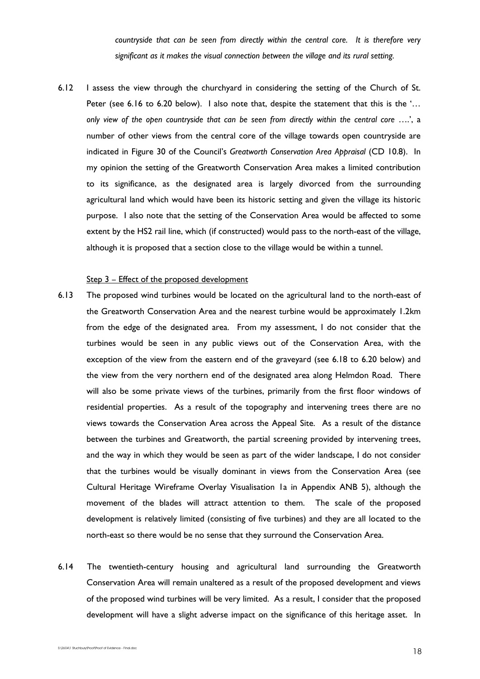*countryside that can be seen from directly within the central core. It is therefore very significant as it makes the visual connection between the village and its rural setting.* 

6.12 I assess the view through the churchyard in considering the setting of the Church of St. Peter (see 6.16 to 6.20 below). I also note that, despite the statement that this is the '... *only view of the open countryside that can be seen from directly within the central core* ….', a number of other views from the central core of the village towards open countryside are indicated in Figure 30 of the Council's *Greatworth Conservation Area Appraisal* (CD 10.8). In my opinion the setting of the Greatworth Conservation Area makes a limited contribution to its significance, as the designated area is largely divorced from the surrounding agricultural land which would have been its historic setting and given the village its historic purpose. I also note that the setting of the Conservation Area would be affected to some extent by the HS2 rail line, which (if constructed) would pass to the north-east of the village, although it is proposed that a section close to the village would be within a tunnel.

# Step 3 – Effect of the proposed development

- 6.13 The proposed wind turbines would be located on the agricultural land to the north-east of the Greatworth Conservation Area and the nearest turbine would be approximately 1.2km from the edge of the designated area. From my assessment, I do not consider that the turbines would be seen in any public views out of the Conservation Area, with the exception of the view from the eastern end of the graveyard (see 6.18 to 6.20 below) and the view from the very northern end of the designated area along Helmdon Road. There will also be some private views of the turbines, primarily from the first floor windows of residential properties. As a result of the topography and intervening trees there are no views towards the Conservation Area across the Appeal Site. As a result of the distance between the turbines and Greatworth, the partial screening provided by intervening trees, and the way in which they would be seen as part of the wider landscape, I do not consider that the turbines would be visually dominant in views from the Conservation Area (see Cultural Heritage Wireframe Overlay Visualisation 1a in Appendix ANB 5), although the movement of the blades will attract attention to them. The scale of the proposed development is relatively limited (consisting of five turbines) and they are all located to the north-east so there would be no sense that they surround the Conservation Area.
- 6.14 The twentieth-century housing and agricultural land surrounding the Greatworth Conservation Area will remain unaltered as a result of the proposed development and views of the proposed wind turbines will be very limited. As a result, I consider that the proposed development will have a slight adverse impact on the significance of this heritage asset. In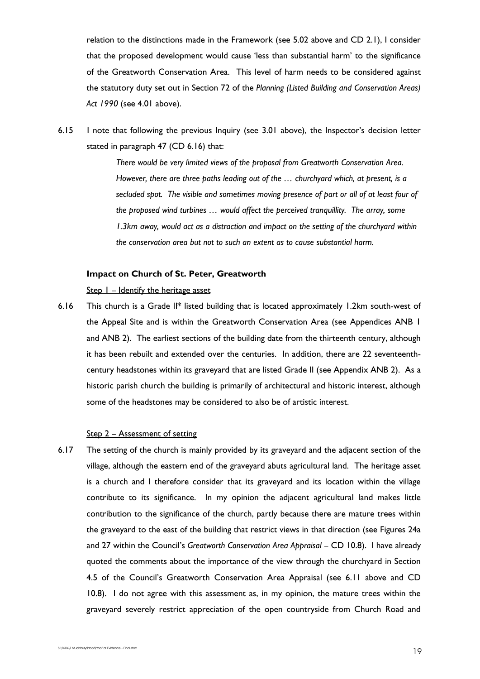relation to the distinctions made in the Framework (see 5.02 above and CD 2.1), I consider that the proposed development would cause 'less than substantial harm' to the significance of the Greatworth Conservation Area. This level of harm needs to be considered against the statutory duty set out in Section 72 of the *Planning (Listed Building and Conservation Areas) Act 1990* (see 4.01 above).

6.15 I note that following the previous Inquiry (see 3.01 above), the Inspector's decision letter stated in paragraph 47 (CD 6.16) that:

> *There would be very limited views of the proposal from Greatworth Conservation Area. However, there are three paths leading out of the … churchyard which, at present, is a secluded spot. The visible and sometimes moving presence of part or all of at least four of the proposed wind turbines … would affect the perceived tranquillity. The array, some 1.3km away, would act as a distraction and impact on the setting of the churchyard within the conservation area but not to such an extent as to cause substantial harm.*

## **Impact on Church of St. Peter, Greatworth**

Step  $1$  – Identify the heritage asset

6.16 This church is a Grade II\* listed building that is located approximately 1.2km south-west of the Appeal Site and is within the Greatworth Conservation Area (see Appendices ANB 1 and ANB 2). The earliest sections of the building date from the thirteenth century, although it has been rebuilt and extended over the centuries. In addition, there are 22 seventeenthcentury headstones within its graveyard that are listed Grade II (see Appendix ANB 2). As a historic parish church the building is primarily of architectural and historic interest, although some of the headstones may be considered to also be of artistic interest.

## Step 2 – Assessment of setting

6.17 The setting of the church is mainly provided by its graveyard and the adjacent section of the village, although the eastern end of the graveyard abuts agricultural land. The heritage asset is a church and I therefore consider that its graveyard and its location within the village contribute to its significance. In my opinion the adjacent agricultural land makes little contribution to the significance of the church, partly because there are mature trees within the graveyard to the east of the building that restrict views in that direction (see Figures 24a and 27 within the Council's *Greatworth Conservation Area Appraisal* – CD 10.8). I have already quoted the comments about the importance of the view through the churchyard in Section 4.5 of the Council's Greatworth Conservation Area Appraisal (see 6.11 above and CD 10.8). I do not agree with this assessment as, in my opinion, the mature trees within the graveyard severely restrict appreciation of the open countryside from Church Road and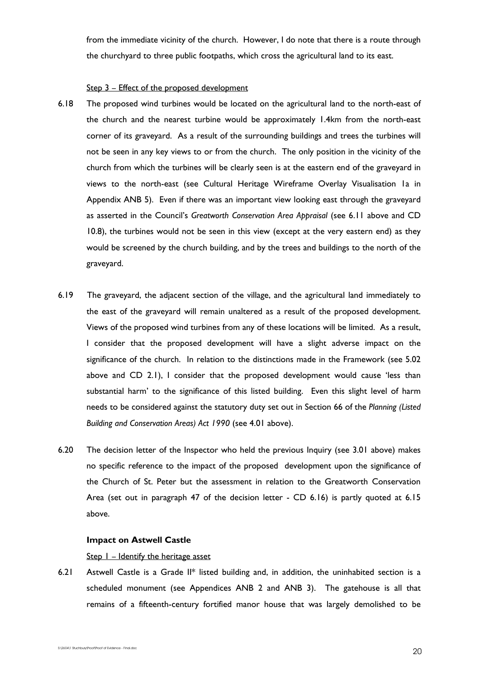from the immediate vicinity of the church. However, I do note that there is a route through the churchyard to three public footpaths, which cross the agricultural land to its east.

## Step 3 - Effect of the proposed development

- 6.18 The proposed wind turbines would be located on the agricultural land to the north-east of the church and the nearest turbine would be approximately 1.4km from the north-east corner of its graveyard. As a result of the surrounding buildings and trees the turbines will not be seen in any key views to or from the church. The only position in the vicinity of the church from which the turbines will be clearly seen is at the eastern end of the graveyard in views to the north-east (see Cultural Heritage Wireframe Overlay Visualisation 1a in Appendix ANB 5). Even if there was an important view looking east through the graveyard as asserted in the Council's *Greatworth Conservation Area Appraisal* (see 6.11 above and CD 10.8), the turbines would not be seen in this view (except at the very eastern end) as they would be screened by the church building, and by the trees and buildings to the north of the graveyard.
- 6.19 The graveyard, the adjacent section of the village, and the agricultural land immediately to the east of the graveyard will remain unaltered as a result of the proposed development. Views of the proposed wind turbines from any of these locations will be limited. As a result, I consider that the proposed development will have a slight adverse impact on the significance of the church. In relation to the distinctions made in the Framework (see 5.02 above and CD 2.1), I consider that the proposed development would cause 'less than substantial harm' to the significance of this listed building. Even this slight level of harm needs to be considered against the statutory duty set out in Section 66 of the *Planning (Listed Building and Conservation Areas) Act 1990* (see 4.01 above).
- 6.20 The decision letter of the Inspector who held the previous Inquiry (see 3.01 above) makes no specific reference to the impact of the proposed development upon the significance of the Church of St. Peter but the assessment in relation to the Greatworth Conservation Area (set out in paragraph 47 of the decision letter - CD 6.16) is partly quoted at 6.15 above.

## **Impact on Astwell Castle**

Step  $I$  – Identify the heritage asset

6.21 Astwell Castle is a Grade II\* listed building and, in addition, the uninhabited section is a scheduled monument (see Appendices ANB 2 and ANB 3). The gatehouse is all that remains of a fifteenth-century fortified manor house that was largely demolished to be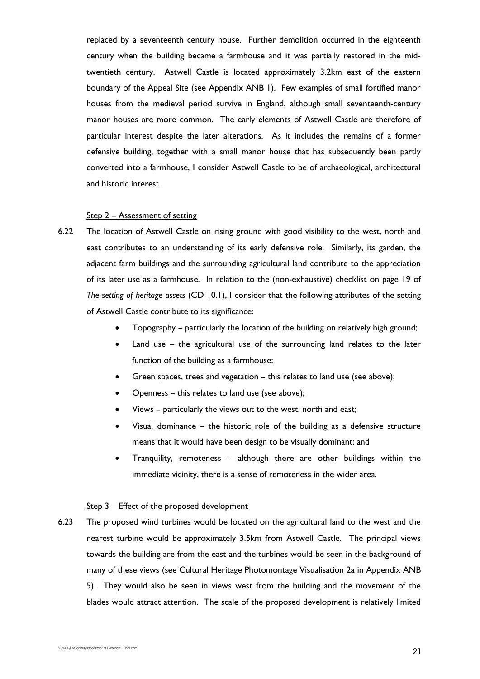replaced by a seventeenth century house. Further demolition occurred in the eighteenth century when the building became a farmhouse and it was partially restored in the midtwentieth century. Astwell Castle is located approximately 3.2km east of the eastern boundary of the Appeal Site (see Appendix ANB 1). Few examples of small fortified manor houses from the medieval period survive in England, although small seventeenth-century manor houses are more common. The early elements of Astwell Castle are therefore of particular interest despite the later alterations. As it includes the remains of a former defensive building, together with a small manor house that has subsequently been partly converted into a farmhouse, I consider Astwell Castle to be of archaeological, architectural and historic interest.

# Step 2 – Assessment of setting

- 6.22 The location of Astwell Castle on rising ground with good visibility to the west, north and east contributes to an understanding of its early defensive role. Similarly, its garden, the adjacent farm buildings and the surrounding agricultural land contribute to the appreciation of its later use as a farmhouse. In relation to the (non-exhaustive) checklist on page 19 of *The setting of heritage assets* (CD 10.1), I consider that the following attributes of the setting of Astwell Castle contribute to its significance:
	- Topography particularly the location of the building on relatively high ground;
	- Land use the agricultural use of the surrounding land relates to the later function of the building as a farmhouse;
	- Green spaces, trees and vegetation this relates to land use (see above);
	- Openness this relates to land use (see above);
	- Views particularly the views out to the west, north and east;
	- Visual dominance the historic role of the building as a defensive structure means that it would have been design to be visually dominant; and
	- Tranquility, remoteness although there are other buildings within the immediate vicinity, there is a sense of remoteness in the wider area.

## Step 3 – Effect of the proposed development

6.23 The proposed wind turbines would be located on the agricultural land to the west and the nearest turbine would be approximately 3.5km from Astwell Castle. The principal views towards the building are from the east and the turbines would be seen in the background of many of these views (see Cultural Heritage Photomontage Visualisation 2a in Appendix ANB 5). They would also be seen in views west from the building and the movement of the blades would attract attention. The scale of the proposed development is relatively limited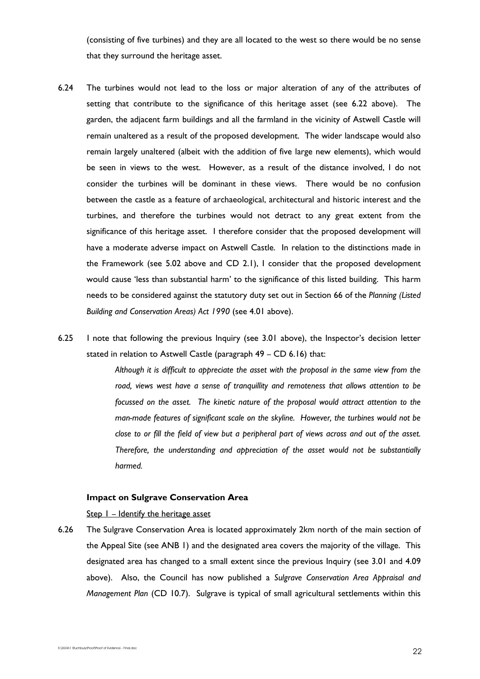(consisting of five turbines) and they are all located to the west so there would be no sense that they surround the heritage asset.

- 6.24 The turbines would not lead to the loss or major alteration of any of the attributes of setting that contribute to the significance of this heritage asset (see 6.22 above). The garden, the adjacent farm buildings and all the farmland in the vicinity of Astwell Castle will remain unaltered as a result of the proposed development. The wider landscape would also remain largely unaltered (albeit with the addition of five large new elements), which would be seen in views to the west. However, as a result of the distance involved, I do not consider the turbines will be dominant in these views. There would be no confusion between the castle as a feature of archaeological, architectural and historic interest and the turbines, and therefore the turbines would not detract to any great extent from the significance of this heritage asset. I therefore consider that the proposed development will have a moderate adverse impact on Astwell Castle. In relation to the distinctions made in the Framework (see 5.02 above and CD 2.1), I consider that the proposed development would cause 'less than substantial harm' to the significance of this listed building. This harm needs to be considered against the statutory duty set out in Section 66 of the *Planning (Listed Building and Conservation Areas) Act 1990* (see 4.01 above).
- 6.25 I note that following the previous Inquiry (see 3.01 above), the Inspector's decision letter stated in relation to Astwell Castle (paragraph 49 – CD 6.16) that:

*Although it is difficult to appreciate the asset with the proposal in the same view from the road, views west have a sense of tranquillity and remoteness that allows attention to be focussed on the asset. The kinetic nature of the proposal would attract attention to the man-made features of significant scale on the skyline. However, the turbines would not be close to or fill the field of view but a peripheral part of views across and out of the asset. Therefore, the understanding and appreciation of the asset would not be substantially harmed.*

## **Impact on Sulgrave Conservation Area**

#### Step I – Identify the heritage asset

6.26 The Sulgrave Conservation Area is located approximately 2km north of the main section of the Appeal Site (see ANB 1) and the designated area covers the majority of the village. This designated area has changed to a small extent since the previous Inquiry (see 3.01 and 4.09 above). Also, the Council has now published a *Sulgrave Conservation Area Appraisal and Management Plan* (CD 10.7). Sulgrave is typical of small agricultural settlements within this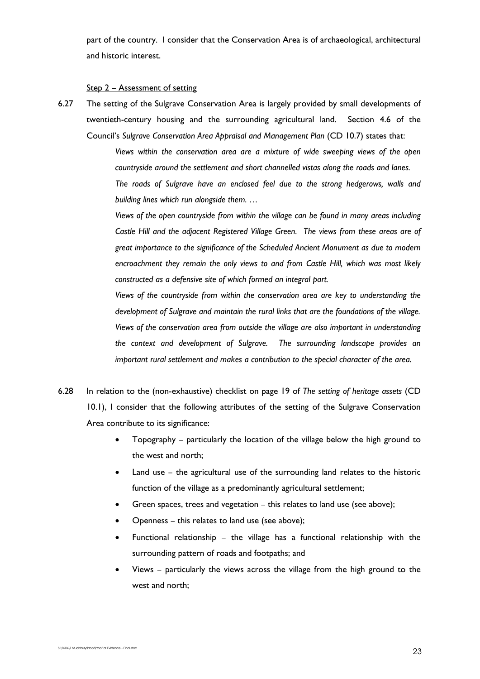part of the country. I consider that the Conservation Area is of archaeological, architectural and historic interest.

#### Step 2 – Assessment of setting

6.27 The setting of the Sulgrave Conservation Area is largely provided by small developments of twentieth-century housing and the surrounding agricultural land. Section 4.6 of the Council's *Sulgrave Conservation Area Appraisal and Management Plan* (CD 10.7) states that:

> *Views within the conservation area are a mixture of wide sweeping views of the open countryside around the settlement and short channelled vistas along the roads and lanes. The roads of Sulgrave have an enclosed feel due to the strong hedgerows, walls and building lines which run alongside them. …*

> *Views of the open countryside from within the village can be found in many areas including Castle Hill and the adjacent Registered Village Green. The views from these areas are of great importance to the significance of the Scheduled Ancient Monument as due to modern encroachment they remain the only views to and from Castle Hill, which was most likely constructed as a defensive site of which formed an integral part.*

> *Views of the countryside from within the conservation area are key to understanding the development of Sulgrave and maintain the rural links that are the foundations of the village. Views of the conservation area from outside the village are also important in understanding the context and development of Sulgrave. The surrounding landscape provides an important rural settlement and makes a contribution to the special character of the area.*

- 6.28 In relation to the (non-exhaustive) checklist on page 19 of *The setting of heritage assets* (CD 10.1), I consider that the following attributes of the setting of the Sulgrave Conservation Area contribute to its significance:
	- Topography particularly the location of the village below the high ground to the west and north;
	- Land use the agricultural use of the surrounding land relates to the historic function of the village as a predominantly agricultural settlement;
	- Green spaces, trees and vegetation this relates to land use (see above);
	- Openness this relates to land use (see above);
	- Functional relationship the village has a functional relationship with the surrounding pattern of roads and footpaths; and
	- Views particularly the views across the village from the high ground to the west and north;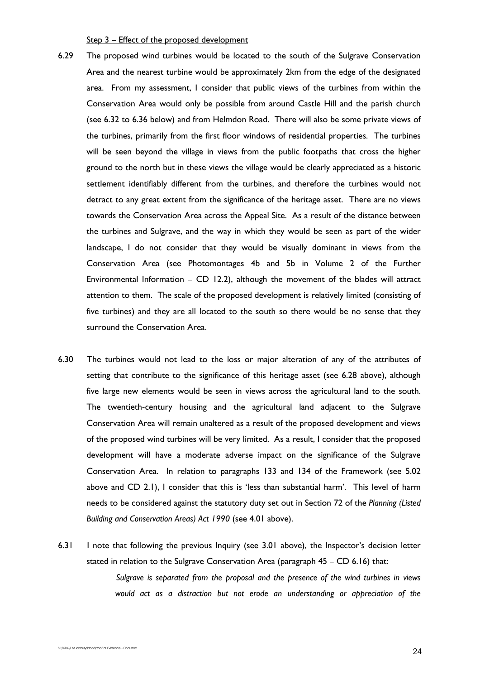Step 3 – Effect of the proposed development

- 6.29 The proposed wind turbines would be located to the south of the Sulgrave Conservation Area and the nearest turbine would be approximately 2km from the edge of the designated area. From my assessment, I consider that public views of the turbines from within the Conservation Area would only be possible from around Castle Hill and the parish church (see 6.32 to 6.36 below) and from Helmdon Road. There will also be some private views of the turbines, primarily from the first floor windows of residential properties. The turbines will be seen beyond the village in views from the public footpaths that cross the higher ground to the north but in these views the village would be clearly appreciated as a historic settlement identifiably different from the turbines, and therefore the turbines would not detract to any great extent from the significance of the heritage asset. There are no views towards the Conservation Area across the Appeal Site. As a result of the distance between the turbines and Sulgrave, and the way in which they would be seen as part of the wider landscape, I do not consider that they would be visually dominant in views from the Conservation Area (see Photomontages 4b and 5b in Volume 2 of the Further Environmental Information – CD 12.2), although the movement of the blades will attract attention to them. The scale of the proposed development is relatively limited (consisting of five turbines) and they are all located to the south so there would be no sense that they surround the Conservation Area.
- 6.30 The turbines would not lead to the loss or major alteration of any of the attributes of setting that contribute to the significance of this heritage asset (see 6.28 above), although five large new elements would be seen in views across the agricultural land to the south. The twentieth-century housing and the agricultural land adjacent to the Sulgrave Conservation Area will remain unaltered as a result of the proposed development and views of the proposed wind turbines will be very limited. As a result, I consider that the proposed development will have a moderate adverse impact on the significance of the Sulgrave Conservation Area. In relation to paragraphs 133 and 134 of the Framework (see 5.02 above and CD 2.1), I consider that this is 'less than substantial harm'. This level of harm needs to be considered against the statutory duty set out in Section 72 of the *Planning (Listed Building and Conservation Areas) Act 1990* (see 4.01 above).
- 6.31 I note that following the previous Inquiry (see 3.01 above), the Inspector's decision letter stated in relation to the Sulgrave Conservation Area (paragraph 45 – CD 6.16) that:  *Sulgrave is separated from the proposal and the presence of the wind turbines in views would act as a distraction but not erode an understanding or appreciation of the*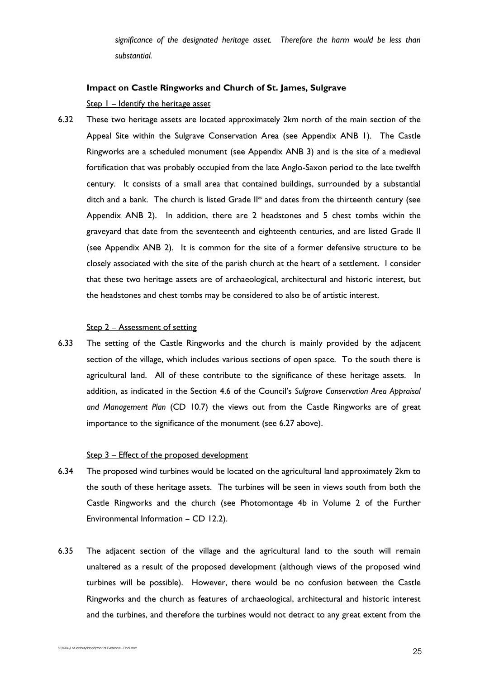*significance of the designated heritage asset. Therefore the harm would be less than substantial.* 

# **Impact on Castle Ringworks and Church of St. James, Sulgrave**

Step 1 – Identify the heritage asset

6.32 These two heritage assets are located approximately 2km north of the main section of the Appeal Site within the Sulgrave Conservation Area (see Appendix ANB 1). The Castle Ringworks are a scheduled monument (see Appendix ANB 3) and is the site of a medieval fortification that was probably occupied from the late Anglo-Saxon period to the late twelfth century. It consists of a small area that contained buildings, surrounded by a substantial ditch and a bank. The church is listed Grade II\* and dates from the thirteenth century (see Appendix ANB 2). In addition, there are 2 headstones and 5 chest tombs within the graveyard that date from the seventeenth and eighteenth centuries, and are listed Grade II (see Appendix ANB 2). It is common for the site of a former defensive structure to be closely associated with the site of the parish church at the heart of a settlement. I consider that these two heritage assets are of archaeological, architectural and historic interest, but the headstones and chest tombs may be considered to also be of artistic interest.

## Step 2 – Assessment of setting

6.33 The setting of the Castle Ringworks and the church is mainly provided by the adjacent section of the village, which includes various sections of open space. To the south there is agricultural land. All of these contribute to the significance of these heritage assets. In addition, as indicated in the Section 4.6 of the Council's *Sulgrave Conservation Area Appraisal and Management Plan* (CD 10.7) the views out from the Castle Ringworks are of great importance to the significance of the monument (see 6.27 above).

## Step 3 - Effect of the proposed development

- 6.34 The proposed wind turbines would be located on the agricultural land approximately 2km to the south of these heritage assets. The turbines will be seen in views south from both the Castle Ringworks and the church (see Photomontage 4b in Volume 2 of the Further Environmental Information – CD 12.2).
- 6.35 The adjacent section of the village and the agricultural land to the south will remain unaltered as a result of the proposed development (although views of the proposed wind turbines will be possible). However, there would be no confusion between the Castle Ringworks and the church as features of archaeological, architectural and historic interest and the turbines, and therefore the turbines would not detract to any great extent from the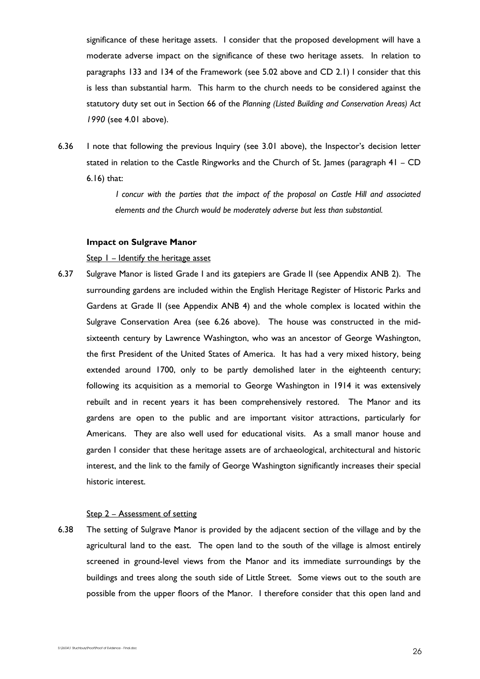significance of these heritage assets. I consider that the proposed development will have a moderate adverse impact on the significance of these two heritage assets. In relation to paragraphs 133 and 134 of the Framework (see 5.02 above and CD 2.1) I consider that this is less than substantial harm. This harm to the church needs to be considered against the statutory duty set out in Section 66 of the *Planning (Listed Building and Conservation Areas) Act 1990* (see 4.01 above).

6.36 I note that following the previous Inquiry (see 3.01 above), the Inspector's decision letter stated in relation to the Castle Ringworks and the Church of St. James (paragraph 41 – CD 6.16) that:

> *I concur with the parties that the impact of the proposal on Castle Hill and associated elements and the Church would be moderately adverse but less than substantial.*

## **Impact on Sulgrave Manor**

Step  $I$  – Identify the heritage asset

6.37 Sulgrave Manor is listed Grade I and its gatepiers are Grade II (see Appendix ANB 2). The surrounding gardens are included within the English Heritage Register of Historic Parks and Gardens at Grade II (see Appendix ANB 4) and the whole complex is located within the Sulgrave Conservation Area (see 6.26 above). The house was constructed in the midsixteenth century by Lawrence Washington, who was an ancestor of George Washington, the first President of the United States of America. It has had a very mixed history, being extended around 1700, only to be partly demolished later in the eighteenth century; following its acquisition as a memorial to George Washington in 1914 it was extensively rebuilt and in recent years it has been comprehensively restored. The Manor and its gardens are open to the public and are important visitor attractions, particularly for Americans. They are also well used for educational visits. As a small manor house and garden I consider that these heritage assets are of archaeological, architectural and historic interest, and the link to the family of George Washington significantly increases their special historic interest.

#### Step 2 – Assessment of setting

6.38 The setting of Sulgrave Manor is provided by the adjacent section of the village and by the agricultural land to the east. The open land to the south of the village is almost entirely screened in ground-level views from the Manor and its immediate surroundings by the buildings and trees along the south side of Little Street. Some views out to the south are possible from the upper floors of the Manor. I therefore consider that this open land and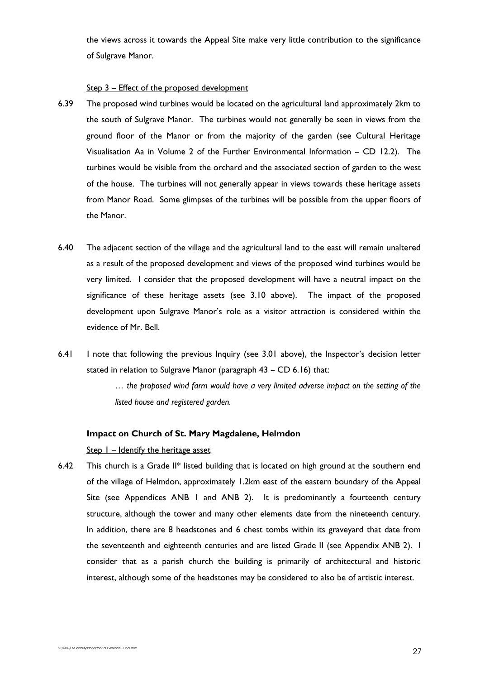the views across it towards the Appeal Site make very little contribution to the significance of Sulgrave Manor.

#### Step 3 – Effect of the proposed development

- 6.39 The proposed wind turbines would be located on the agricultural land approximately 2km to the south of Sulgrave Manor. The turbines would not generally be seen in views from the ground floor of the Manor or from the majority of the garden (see Cultural Heritage Visualisation Aa in Volume 2 of the Further Environmental Information – CD 12.2). The turbines would be visible from the orchard and the associated section of garden to the west of the house. The turbines will not generally appear in views towards these heritage assets from Manor Road. Some glimpses of the turbines will be possible from the upper floors of the Manor.
- 6.40 The adjacent section of the village and the agricultural land to the east will remain unaltered as a result of the proposed development and views of the proposed wind turbines would be very limited. I consider that the proposed development will have a neutral impact on the significance of these heritage assets (see 3.10 above). The impact of the proposed development upon Sulgrave Manor's role as a visitor attraction is considered within the evidence of Mr. Bell.
- 6.41 I note that following the previous Inquiry (see 3.01 above), the Inspector's decision letter stated in relation to Sulgrave Manor (paragraph 43 – CD 6.16) that:

*… the proposed wind farm would have a very limited adverse impact on the setting of the listed house and registered garden.*

## **Impact on Church of St. Mary Magdalene, Helmdon**

#### Step 1 – Identify the heritage asset

6.42 This church is a Grade II\* listed building that is located on high ground at the southern end of the village of Helmdon, approximately 1.2km east of the eastern boundary of the Appeal Site (see Appendices ANB I and ANB 2). It is predominantly a fourteenth century structure, although the tower and many other elements date from the nineteenth century. In addition, there are 8 headstones and 6 chest tombs within its graveyard that date from the seventeenth and eighteenth centuries and are listed Grade II (see Appendix ANB 2). I consider that as a parish church the building is primarily of architectural and historic interest, although some of the headstones may be considered to also be of artistic interest.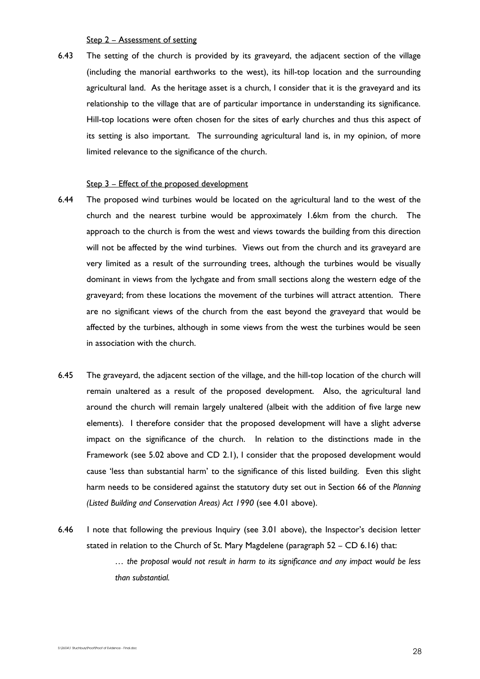Step 2 – Assessment of setting

6.43 The setting of the church is provided by its graveyard, the adjacent section of the village (including the manorial earthworks to the west), its hill-top location and the surrounding agricultural land. As the heritage asset is a church, I consider that it is the graveyard and its relationship to the village that are of particular importance in understanding its significance. Hill-top locations were often chosen for the sites of early churches and thus this aspect of its setting is also important. The surrounding agricultural land is, in my opinion, of more limited relevance to the significance of the church.

#### Step 3 – Effect of the proposed development

- 6.44 The proposed wind turbines would be located on the agricultural land to the west of the church and the nearest turbine would be approximately 1.6km from the church. The approach to the church is from the west and views towards the building from this direction will not be affected by the wind turbines. Views out from the church and its graveyard are very limited as a result of the surrounding trees, although the turbines would be visually dominant in views from the lychgate and from small sections along the western edge of the graveyard; from these locations the movement of the turbines will attract attention. There are no significant views of the church from the east beyond the graveyard that would be affected by the turbines, although in some views from the west the turbines would be seen in association with the church.
- 6.45 The graveyard, the adjacent section of the village, and the hill-top location of the church will remain unaltered as a result of the proposed development. Also, the agricultural land around the church will remain largely unaltered (albeit with the addition of five large new elements). I therefore consider that the proposed development will have a slight adverse impact on the significance of the church. In relation to the distinctions made in the Framework (see 5.02 above and CD 2.1), I consider that the proposed development would cause 'less than substantial harm' to the significance of this listed building. Even this slight harm needs to be considered against the statutory duty set out in Section 66 of the *Planning (Listed Building and Conservation Areas) Act 1990* (see 4.01 above).
- 6.46 I note that following the previous Inquiry (see 3.01 above), the Inspector's decision letter stated in relation to the Church of St. Mary Magdelene (paragraph 52 – CD 6.16) that: *… the proposal would not result in harm to its significance and any impact would be less than substantial.*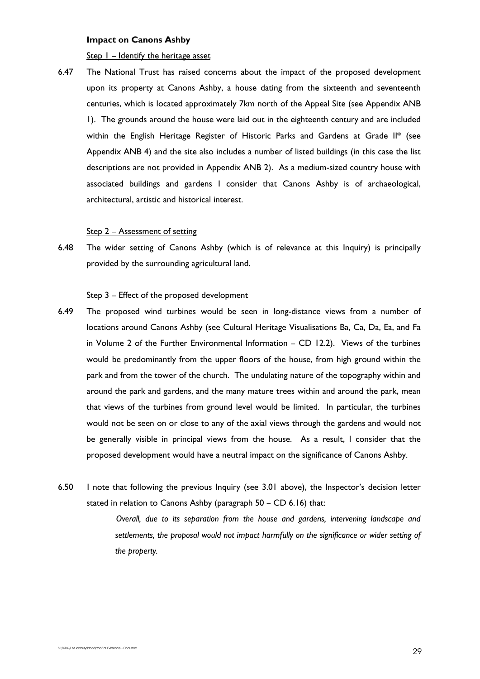#### **Impact on Canons Ashby**

Step  $I$  – Identify the heritage asset

6.47 The National Trust has raised concerns about the impact of the proposed development upon its property at Canons Ashby, a house dating from the sixteenth and seventeenth centuries, which is located approximately 7km north of the Appeal Site (see Appendix ANB 1). The grounds around the house were laid out in the eighteenth century and are included within the English Heritage Register of Historic Parks and Gardens at Grade II\* (see Appendix ANB 4) and the site also includes a number of listed buildings (in this case the list descriptions are not provided in Appendix ANB 2). As a medium-sized country house with associated buildings and gardens I consider that Canons Ashby is of archaeological, architectural, artistic and historical interest.

#### Step 2 – Assessment of setting

6.48 The wider setting of Canons Ashby (which is of relevance at this Inquiry) is principally provided by the surrounding agricultural land.

# Step 3 – Effect of the proposed development

- 6.49 The proposed wind turbines would be seen in long-distance views from a number of locations around Canons Ashby (see Cultural Heritage Visualisations Ba, Ca, Da, Ea, and Fa in Volume 2 of the Further Environmental Information – CD 12.2). Views of the turbines would be predominantly from the upper floors of the house, from high ground within the park and from the tower of the church. The undulating nature of the topography within and around the park and gardens, and the many mature trees within and around the park, mean that views of the turbines from ground level would be limited. In particular, the turbines would not be seen on or close to any of the axial views through the gardens and would not be generally visible in principal views from the house. As a result, I consider that the proposed development would have a neutral impact on the significance of Canons Ashby.
- 6.50 I note that following the previous Inquiry (see 3.01 above), the Inspector's decision letter stated in relation to Canons Ashby (paragraph 50 – CD 6.16) that:

 *Overall, due to its separation from the house and gardens, intervening landscape and settlements, the proposal would not impact harmfully on the significance or wider setting of the property.*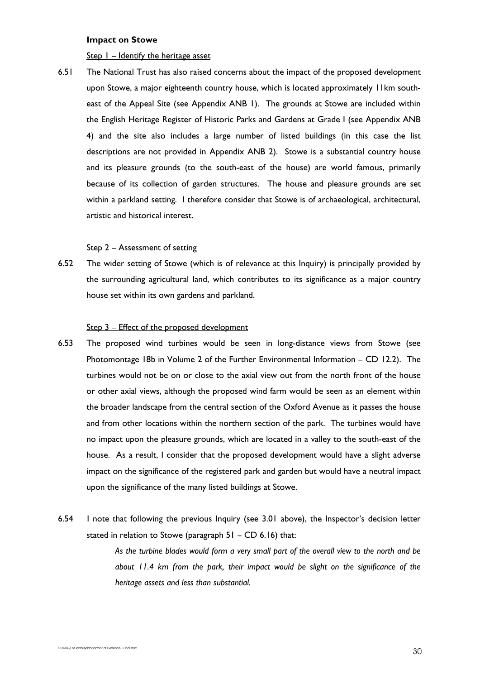#### **Impact on Stowe**

Step  $I$  – Identify the heritage asset

6.51 The National Trust has also raised concerns about the impact of the proposed development upon Stowe, a major eighteenth country house, which is located approximately 11km southeast of the Appeal Site (see Appendix ANB 1). The grounds at Stowe are included within the English Heritage Register of Historic Parks and Gardens at Grade I (see Appendix ANB 4) and the site also includes a large number of listed buildings (in this case the list descriptions are not provided in Appendix ANB 2). Stowe is a substantial country house and its pleasure grounds (to the south-east of the house) are world famous, primarily because of its collection of garden structures. The house and pleasure grounds are set within a parkland setting. I therefore consider that Stowe is of archaeological, architectural, artistic and historical interest.

#### Step 2 – Assessment of setting

6.52 The wider setting of Stowe (which is of relevance at this Inquiry) is principally provided by the surrounding agricultural land, which contributes to its significance as a major country house set within its own gardens and parkland.

### Step 3 – Effect of the proposed development

- 6.53 The proposed wind turbines would be seen in long-distance views from Stowe (see Photomontage 18b in Volume 2 of the Further Environmental Information – CD 12.2). The turbines would not be on or close to the axial view out from the north front of the house or other axial views, although the proposed wind farm would be seen as an element within the broader landscape from the central section of the Oxford Avenue as it passes the house and from other locations within the northern section of the park. The turbines would have no impact upon the pleasure grounds, which are located in a valley to the south-east of the house. As a result, I consider that the proposed development would have a slight adverse impact on the significance of the registered park and garden but would have a neutral impact upon the significance of the many listed buildings at Stowe.
- 6.54 I note that following the previous Inquiry (see 3.01 above), the Inspector's decision letter stated in relation to Stowe (paragraph 51 – CD 6.16) that:

*As the turbine blades would form a very small part of the overall view to the north and be about 11.4 km from the park, their impact would be slight on the significance of the heritage assets and less than substantial.*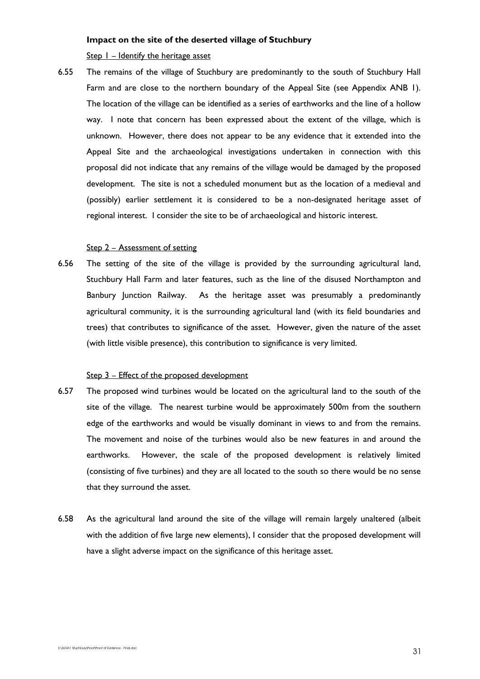## **Impact on the site of the deserted village of Stuchbury**

Step  $I$  – Identify the heritage asset

6.55 The remains of the village of Stuchbury are predominantly to the south of Stuchbury Hall Farm and are close to the northern boundary of the Appeal Site (see Appendix ANB 1). The location of the village can be identified as a series of earthworks and the line of a hollow way. I note that concern has been expressed about the extent of the village, which is unknown. However, there does not appear to be any evidence that it extended into the Appeal Site and the archaeological investigations undertaken in connection with this proposal did not indicate that any remains of the village would be damaged by the proposed development. The site is not a scheduled monument but as the location of a medieval and (possibly) earlier settlement it is considered to be a non-designated heritage asset of regional interest. I consider the site to be of archaeological and historic interest.

## Step 2 – Assessment of setting

6.56 The setting of the site of the village is provided by the surrounding agricultural land, Stuchbury Hall Farm and later features, such as the line of the disused Northampton and Banbury Junction Railway. As the heritage asset was presumably a predominantly agricultural community, it is the surrounding agricultural land (with its field boundaries and trees) that contributes to significance of the asset. However, given the nature of the asset (with little visible presence), this contribution to significance is very limited.

#### Step 3 – Effect of the proposed development

- 6.57 The proposed wind turbines would be located on the agricultural land to the south of the site of the village. The nearest turbine would be approximately 500m from the southern edge of the earthworks and would be visually dominant in views to and from the remains. The movement and noise of the turbines would also be new features in and around the earthworks. However, the scale of the proposed development is relatively limited (consisting of five turbines) and they are all located to the south so there would be no sense that they surround the asset.
- 6.58 As the agricultural land around the site of the village will remain largely unaltered (albeit with the addition of five large new elements), I consider that the proposed development will have a slight adverse impact on the significance of this heritage asset.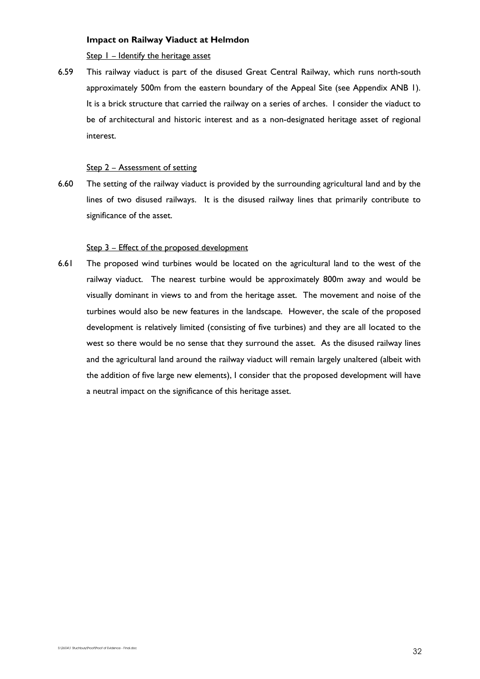# **Impact on Railway Viaduct at Helmdon**

Step 1 – Identify the heritage asset

6.59 This railway viaduct is part of the disused Great Central Railway, which runs north-south approximately 500m from the eastern boundary of the Appeal Site (see Appendix ANB 1). It is a brick structure that carried the railway on a series of arches. I consider the viaduct to be of architectural and historic interest and as a non-designated heritage asset of regional interest.

# Step 2 – Assessment of setting

6.60 The setting of the railway viaduct is provided by the surrounding agricultural land and by the lines of two disused railways. It is the disused railway lines that primarily contribute to significance of the asset.

## Step 3 - Effect of the proposed development

6.61 The proposed wind turbines would be located on the agricultural land to the west of the railway viaduct. The nearest turbine would be approximately 800m away and would be visually dominant in views to and from the heritage asset. The movement and noise of the turbines would also be new features in the landscape. However, the scale of the proposed development is relatively limited (consisting of five turbines) and they are all located to the west so there would be no sense that they surround the asset. As the disused railway lines and the agricultural land around the railway viaduct will remain largely unaltered (albeit with the addition of five large new elements), I consider that the proposed development will have a neutral impact on the significance of this heritage asset.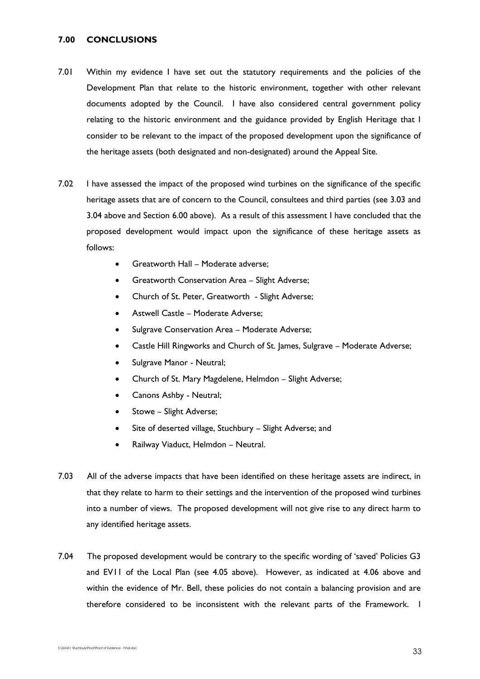# **7.00 CONCLUSIONS**

- 7.01 Within my evidence I have set out the statutory requirements and the policies of the Development Plan that relate to the historic environment, together with other relevant documents adopted by the Council. I have also considered central government policy relating to the historic environment and the guidance provided by English Heritage that I consider to be relevant to the impact of the proposed development upon the significance of the heritage assets (both designated and non-designated) around the Appeal Site.
- 7.02 I have assessed the impact of the proposed wind turbines on the significance of the specific heritage assets that are of concern to the Council, consultees and third parties (see 3.03 and 3.04 above and Section 6.00 above). As a result of this assessment I have concluded that the proposed development would impact upon the significance of these heritage assets as follows:
	- Greatworth Hall Moderate adverse;
	- Greatworth Conservation Area Slight Adverse;
	- Church of St. Peter, Greatworth Slight Adverse;
	- Astwell Castle Moderate Adverse;
	- Sulgrave Conservation Area Moderate Adverse;
	- Castle Hill Ringworks and Church of St. James, Sulgrave Moderate Adverse;
	- Sulgrave Manor Neutral;
	- Church of St. Mary Magdelene, Helmdon Slight Adverse;
	- Canons Ashby Neutral;
	- Stowe Slight Adverse;
	- Site of deserted village, Stuchbury Slight Adverse; and
	- Railway Viaduct, Helmdon Neutral.
- 7.03 All of the adverse impacts that have been identified on these heritage assets are indirect, in that they relate to harm to their settings and the intervention of the proposed wind turbines into a number of views. The proposed development will not give rise to any direct harm to any identified heritage assets.
- 7.04 The proposed development would be contrary to the specific wording of 'saved' Policies G3 and EV11 of the Local Plan (see 4.05 above). However, as indicated at 4.06 above and within the evidence of Mr. Bell, these policies do not contain a balancing provision and are therefore considered to be inconsistent with the relevant parts of the Framework. I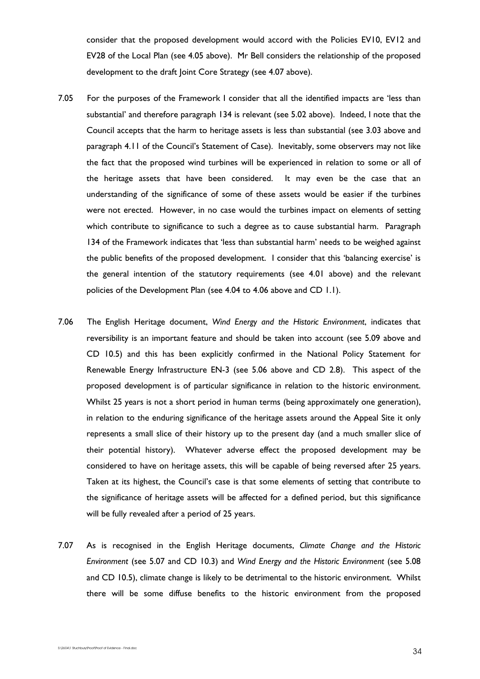consider that the proposed development would accord with the Policies EV10, EV12 and EV28 of the Local Plan (see 4.05 above). Mr Bell considers the relationship of the proposed development to the draft Joint Core Strategy (see 4.07 above).

- 7.05 For the purposes of the Framework I consider that all the identified impacts are 'less than substantial' and therefore paragraph 134 is relevant (see 5.02 above). Indeed, I note that the Council accepts that the harm to heritage assets is less than substantial (see 3.03 above and paragraph 4.11 of the Council's Statement of Case). Inevitably, some observers may not like the fact that the proposed wind turbines will be experienced in relation to some or all of the heritage assets that have been considered. It may even be the case that an understanding of the significance of some of these assets would be easier if the turbines were not erected. However, in no case would the turbines impact on elements of setting which contribute to significance to such a degree as to cause substantial harm. Paragraph 134 of the Framework indicates that 'less than substantial harm' needs to be weighed against the public benefits of the proposed development. I consider that this 'balancing exercise' is the general intention of the statutory requirements (see 4.01 above) and the relevant policies of the Development Plan (see 4.04 to 4.06 above and CD 1.1).
- 7.06 The English Heritage document, *Wind Energy and the Historic Environment*, indicates that reversibility is an important feature and should be taken into account (see 5.09 above and CD 10.5) and this has been explicitly confirmed in the National Policy Statement for Renewable Energy Infrastructure EN-3 (see 5.06 above and CD 2.8). This aspect of the proposed development is of particular significance in relation to the historic environment. Whilst 25 years is not a short period in human terms (being approximately one generation), in relation to the enduring significance of the heritage assets around the Appeal Site it only represents a small slice of their history up to the present day (and a much smaller slice of their potential history). Whatever adverse effect the proposed development may be considered to have on heritage assets, this will be capable of being reversed after 25 years. Taken at its highest, the Council's case is that some elements of setting that contribute to the significance of heritage assets will be affected for a defined period, but this significance will be fully revealed after a period of 25 years.
- 7.07 As is recognised in the English Heritage documents, *Climate Change and the Historic Environment* (see 5.07 and CD 10.3) and *Wind Energy and the Historic Environment* (see 5.08 and CD 10.5), climate change is likely to be detrimental to the historic environment. Whilst there will be some diffuse benefits to the historic environment from the proposed